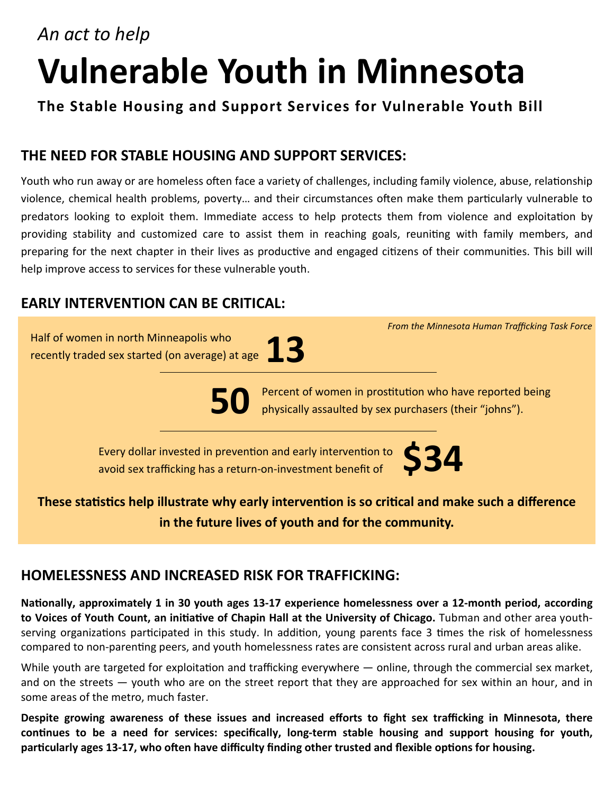# *An act to help* **Vulnerable Youth in Minnesota**

**The Stable Housing and Support Services for Vulnerable Youth Bill**

#### **THE NEED FOR STABLE HOUSING AND SUPPORT SERVICES:**

Youth who run away or are homeless often face a variety of challenges, including family violence, abuse, relationship violence, chemical health problems, poverty... and their circumstances often make them particularly vulnerable to predators looking to exploit them. Immediate access to help protects them from violence and exploitation by providing stability and customized care to assist them in reaching goals, reuniting with family members, and preparing for the next chapter in their lives as productive and engaged citizens of their communities. This bill will help improve access to services for these vulnerable youth.

#### **EARLY INTERVENTION CAN BE CRITICAL:**

Half of women in north Minneapolis who recently traded sex started (on average) at age **13**

**50**

Percent of women in prostitution who have reported being physically assaulted by sex purchasers (their "johns").

Every dollar invested in prevention and early intervention to avoid sex trafficking has a return-on-investment benefit of



*From the Minnesota Human Trafficking Task Force*

#### **These statistics help illustrate why early intervention is so critical and make such a difference in the future lives of youth and for the community.**

#### **HOMELESSNESS AND INCREASED RISK FOR TRAFFICKING:**

Nationally, approximately 1 in 30 youth ages 13-17 experience homelessness over a 12-month period, according to Voices of Youth Count, an initiative of Chapin Hall at the University of Chicago. Tubman and other area youthserving organizations participated in this study. In addition, young parents face 3 times the risk of homelessness compared to non-parenting peers, and youth homelessness rates are consistent across rural and urban areas alike.

While youth are targeted for exploitation and trafficking everywhere  $-$  online, through the commercial sex market, and on the streets — youth who are on the street report that they are approached for sex within an hour, and in some areas of the metro, much faster.

**Despite growing awareness of these issues and increased efforts to fight sex trafficking in Minnesota, there**  continues to be a need for services: specifically, long-term stable housing and support housing for youth, particularly ages 13-17, who often have difficulty finding other trusted and flexible options for housing.